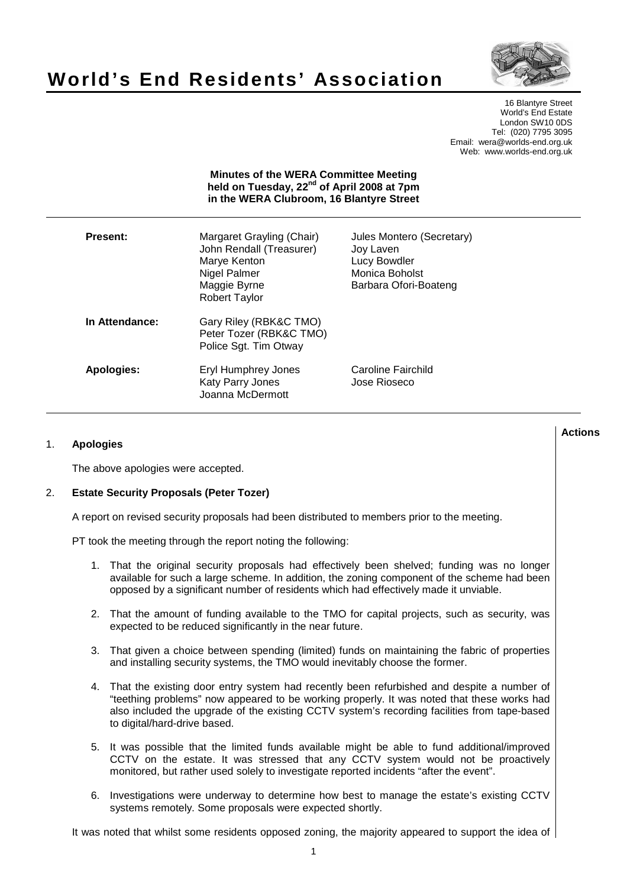# **World's End Residents' Association**



16 Blantyre Street World's End Estate London SW10 0DS Tel: (020) 7795 3095 Email: wera@worlds-end.org.uk Web: www.worlds-end.org.uk

#### **Minutes of the WERA Committee Meeting held on Tuesday, 22nd of April 2008 at 7pm in the WERA Clubroom, 16 Blantyre Street**

| <b>Present:</b> | Margaret Grayling (Chair)<br>John Rendall (Treasurer)<br>Marye Kenton<br>Nigel Palmer<br>Maggie Byrne<br><b>Robert Taylor</b> | Jules Montero (Secretary)<br>Joy Laven<br>Lucy Bowdler<br>Monica Boholst<br>Barbara Ofori-Boateng |
|-----------------|-------------------------------------------------------------------------------------------------------------------------------|---------------------------------------------------------------------------------------------------|
| In Attendance:  | Gary Riley (RBK&C TMO)<br>Peter Tozer (RBK&C TMO)<br>Police Sgt. Tim Otway                                                    |                                                                                                   |
| Apologies:      | Eryl Humphrey Jones<br><b>Katy Parry Jones</b><br>Joanna McDermott                                                            | Caroline Fairchild<br>Jose Rioseco                                                                |

# 1. **Apologies**

The above apologies were accepted.

#### 2. **Estate Security Proposals (Peter Tozer)**

A report on revised security proposals had been distributed to members prior to the meeting.

PT took the meeting through the report noting the following:

- 1. That the original security proposals had effectively been shelved; funding was no longer available for such a large scheme. In addition, the zoning component of the scheme had been opposed by a significant number of residents which had effectively made it unviable.
- 2. That the amount of funding available to the TMO for capital projects, such as security, was expected to be reduced significantly in the near future.
- 3. That given a choice between spending (limited) funds on maintaining the fabric of properties and installing security systems, the TMO would inevitably choose the former.
- 4. That the existing door entry system had recently been refurbished and despite a number of "teething problems" now appeared to be working properly. It was noted that these works had also included the upgrade of the existing CCTV system's recording facilities from tape-based to digital/hard-drive based.
- 5. It was possible that the limited funds available might be able to fund additional/improved CCTV on the estate. It was stressed that any CCTV system would not be proactively monitored, but rather used solely to investigate reported incidents "after the event".
- 6. Investigations were underway to determine how best to manage the estate's existing CCTV systems remotely. Some proposals were expected shortly.

It was noted that whilst some residents opposed zoning, the majority appeared to support the idea of

**Lactions のことには、このことにより、このことにより、このことになります。 そのことには、このことにより、このことにより、このことになります。 そのことには、このことにより、このことには、このことにより、このことにより、このことにより、このことにより、このことにより、このことにより、このことにより、このことにより、このことにより、このことにより、このことにより、このことにより、このことにより、このことによっていることになっ**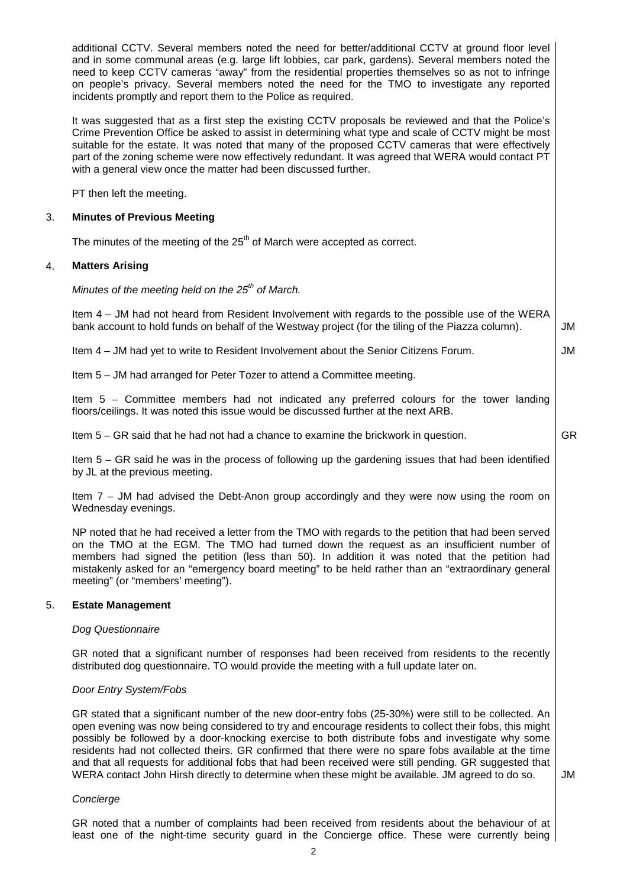additional CCTV. Several members noted the need for better/additional CCTV at ground floor level and in some communal areas (e.g. large lift lobbies, car park, gardens). Several members noted the need to keep CCTV cameras "away" from the residential properties themselves so as not to infringe on people's privacy. Several members noted the need for the TMO to investigate any reported incidents promptly and report them to the Police as required.

It was suggested that as a first step the existing CCTV proposals be reviewed and that the Police's Crime Prevention Office be asked to assist in determining what type and scale of CCTV might be most suitable for the estate. It was noted that many of the proposed CCTV cameras that were effectively part of the zoning scheme were now effectively redundant. It was agreed that WERA would contact PT with a general view once the matter had been discussed further.

PT then left the meeting.

# 3. **Minutes of Previous Meeting**

The minutes of the meeting of the 25<sup>th</sup> of March were accepted as correct.

# 4. **Matters Arising**

Minutes of the meeting held on the  $25<sup>th</sup>$  of March.

Item 4 – JM had not heard from Resident Involvement with regards to the possible use of the WERA bank account to hold funds on behalf of the Westway project (for the tiling of the Piazza column). JM

Item 4 – JM had yet to write to Resident Involvement about the Senior Citizens Forum.

Item 5 – JM had arranged for Peter Tozer to attend a Committee meeting.

Item 5 – Committee members had not indicated any preferred colours for the tower landing floors/ceilings. It was noted this issue would be discussed further at the next ARB.

Item 5 – GR said that he had not had a chance to examine the brickwork in question.

GR

JM

Item 5 – GR said he was in the process of following up the gardening issues that had been identified by JL at the previous meeting.

Item 7 – JM had advised the Debt-Anon group accordingly and they were now using the room on Wednesday evenings.

NP noted that he had received a letter from the TMO with regards to the petition that had been served on the TMO at the EGM. The TMO had turned down the request as an insufficient number of members had signed the petition (less than 50). In addition it was noted that the petition had mistakenly asked for an "emergency board meeting" to be held rather than an "extraordinary general meeting" (or "members' meeting").

#### 5. **Estate Management**

#### Dog Questionnaire

GR noted that a significant number of responses had been received from residents to the recently distributed dog questionnaire. TO would provide the meeting with a full update later on.

#### Door Entry System/Fobs

GR stated that a significant number of the new door-entry fobs (25-30%) were still to be collected. An open evening was now being considered to try and encourage residents to collect their fobs, this might possibly be followed by a door-knocking exercise to both distribute fobs and investigate why some residents had not collected theirs. GR confirmed that there were no spare fobs available at the time and that all requests for additional fobs that had been received were still pending. GR suggested that WERA contact John Hirsh directly to determine when these might be available. JM agreed to do so.

JM

# Concierge

GR noted that a number of complaints had been received from residents about the behaviour of at least one of the night-time security guard in the Concierge office. These were currently being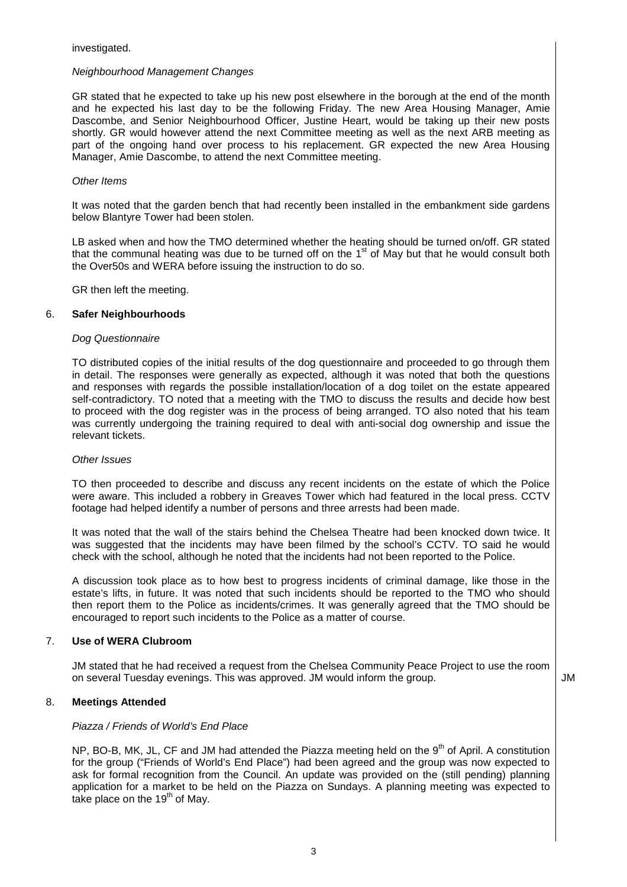## Neighbourhood Management Changes

GR stated that he expected to take up his new post elsewhere in the borough at the end of the month and he expected his last day to be the following Friday. The new Area Housing Manager, Amie Dascombe, and Senior Neighbourhood Officer, Justine Heart, would be taking up their new posts shortly. GR would however attend the next Committee meeting as well as the next ARB meeting as part of the ongoing hand over process to his replacement. GR expected the new Area Housing Manager, Amie Dascombe, to attend the next Committee meeting.

#### Other Items

It was noted that the garden bench that had recently been installed in the embankment side gardens below Blantyre Tower had been stolen.

LB asked when and how the TMO determined whether the heating should be turned on/off. GR stated that the communal heating was due to be turned off on the 1<sup>st</sup> of May but that he would consult both the Over50s and WERA before issuing the instruction to do so.

GR then left the meeting.

## 6. **Safer Neighbourhoods**

#### Dog Questionnaire

TO distributed copies of the initial results of the dog questionnaire and proceeded to go through them in detail. The responses were generally as expected, although it was noted that both the questions and responses with regards the possible installation/location of a dog toilet on the estate appeared self-contradictory. TO noted that a meeting with the TMO to discuss the results and decide how best to proceed with the dog register was in the process of being arranged. TO also noted that his team was currently undergoing the training required to deal with anti-social dog ownership and issue the relevant tickets.

#### Other Issues

TO then proceeded to describe and discuss any recent incidents on the estate of which the Police were aware. This included a robbery in Greaves Tower which had featured in the local press. CCTV footage had helped identify a number of persons and three arrests had been made.

It was noted that the wall of the stairs behind the Chelsea Theatre had been knocked down twice. It was suggested that the incidents may have been filmed by the school's CCTV. TO said he would check with the school, although he noted that the incidents had not been reported to the Police.

A discussion took place as to how best to progress incidents of criminal damage, like those in the estate's lifts, in future. It was noted that such incidents should be reported to the TMO who should then report them to the Police as incidents/crimes. It was generally agreed that the TMO should be encouraged to report such incidents to the Police as a matter of course.

# 7. **Use of WERA Clubroom**

JM stated that he had received a request from the Chelsea Community Peace Project to use the room on several Tuesday evenings. This was approved. JM would inform the group.  $\vert$  JM

# 8. **Meetings Attended**

#### Piazza / Friends of World's End Place

NP, BO-B, MK, JL, CF and JM had attended the Piazza meeting held on the  $9<sup>th</sup>$  of April. A constitution for the group ("Friends of World's End Place") had been agreed and the group was now expected to ask for formal recognition from the Council. An update was provided on the (still pending) planning application for a market to be held on the Piazza on Sundays. A planning meeting was expected to take place on the  $19<sup>th</sup>$  of May.